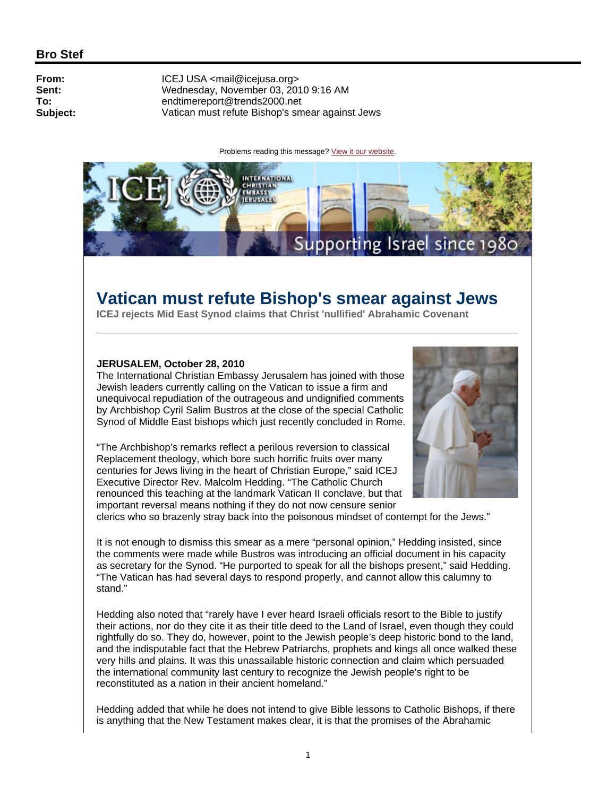## **Bro Stef**

**From:** ICEJ USA <mail@icejusa.org><br> **Sent:** Wednesday. November 03. 201 **Sent:** Wednesday, November 03, 2010 9:16 AM<br>
To: endtimereport@trends2000.net **To:** endtimereport@trends2000.net **Subject:** Vatican must refute Bishop's smear against Jews

Problems reading this message? View it our website.



# **Vatican must refute Bishop's smear against Jews**

**ICEJ rejects Mid East Synod claims that Christ 'nullified' Abrahamic Covenant**

#### **JERUSALEM, October 28, 2010**

The International Christian Embassy Jerusalem has joined with those Jewish leaders currently calling on the Vatican to issue a firm and unequivocal repudiation of the outrageous and undignified comments by Archbishop Cyril Salim Bustros at the close of the special Catholic Synod of Middle East bishops which just recently concluded in Rome.

"The Archbishop's remarks reflect a perilous reversion to classical Replacement theology, which bore such horrific fruits over many centuries for Jews living in the heart of Christian Europe," said ICEJ Executive Director Rev. Malcolm Hedding. "The Catholic Church renounced this teaching at the landmark Vatican II conclave, but that important reversal means nothing if they do not now censure senior



clerics who so brazenly stray back into the poisonous mindset of contempt for the Jews."

It is not enough to dismiss this smear as a mere "personal opinion," Hedding insisted, since the comments were made while Bustros was introducing an official document in his capacity as secretary for the Synod. "He purported to speak for all the bishops present," said Hedding. "The Vatican has had several days to respond properly, and cannot allow this calumny to stand."

Hedding also noted that "rarely have I ever heard Israeli officials resort to the Bible to justify their actions, nor do they cite it as their title deed to the Land of Israel, even though they could rightfully do so. They do, however, point to the Jewish people's deep historic bond to the land, and the indisputable fact that the Hebrew Patriarchs, prophets and kings all once walked these very hills and plains. It was this unassailable historic connection and claim which persuaded the international community last century to recognize the Jewish people's right to be reconstituted as a nation in their ancient homeland."

Hedding added that while he does not intend to give Bible lessons to Catholic Bishops, if there is anything that the New Testament makes clear, it is that the promises of the Abrahamic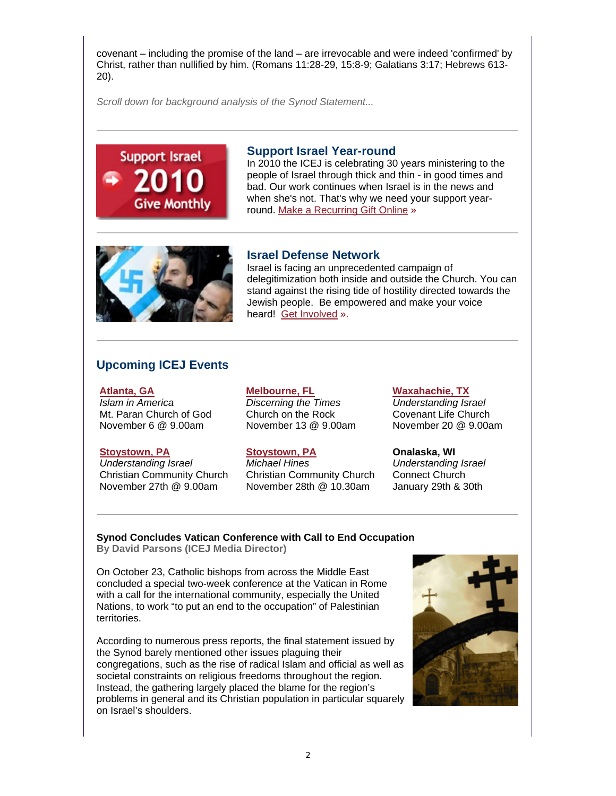covenant – including the promise of the land – are irrevocable and were indeed 'confirmed' by Christ, rather than nullified by him. (Romans 11:28-29, 15:8-9; Galatians 3:17; Hebrews 613- 20).

*Scroll down for background analysis of the Synod Statement...*

# **Support Israel** Give Monthly

## **Support Israel Year-round**

In 2010 the ICEJ is celebrating 30 years ministering to the people of Israel through thick and thin - in good times and bad. Our work continues when Israel is in the news and when she's not. That's why we need your support yearround. Make a Recurring Gift Online »



## **Israel Defense Network**

Israel is facing an unprecedented campaign of delegitimization both inside and outside the Church. You can stand against the rising tide of hostility directed towards the Jewish people. Be empowered and make your voice heard! Get Involved ».

## **Upcoming ICEJ Events**

**Atlanta, GA** 

*Islam in America*  Mt. Paran Church of God November 6 @ 9.00am

#### **Stoystown, PA**

*Understanding Israel*  Christian Community Church November 27th @ 9.00am

## November 13 @ 9.00am

**Melbourne, FL**  *Discerning the Times*  Church on the Rock

#### **Stoystown, PA**

*Michael Hines*  Christian Community Church November 28th @ 10.30am

### **Waxahachie, TX**

*Understanding Israel*  Covenant Life Church November 20 @ 9.00am

**Onalaska, WI**  *Understanding Israel*  Connect Church January 29th & 30th

# **Synod Concludes Vatican Conference with Call to End Occupation**

**By David Parsons (ICEJ Media Director)**

On October 23, Catholic bishops from across the Middle East concluded a special two-week conference at the Vatican in Rome with a call for the international community, especially the United Nations, to work "to put an end to the occupation" of Palestinian territories.

According to numerous press reports, the final statement issued by the Synod barely mentioned other issues plaguing their congregations, such as the rise of radical Islam and official as well as societal constraints on religious freedoms throughout the region. Instead, the gathering largely placed the blame for the region's problems in general and its Christian population in particular squarely on Israel's shoulders.